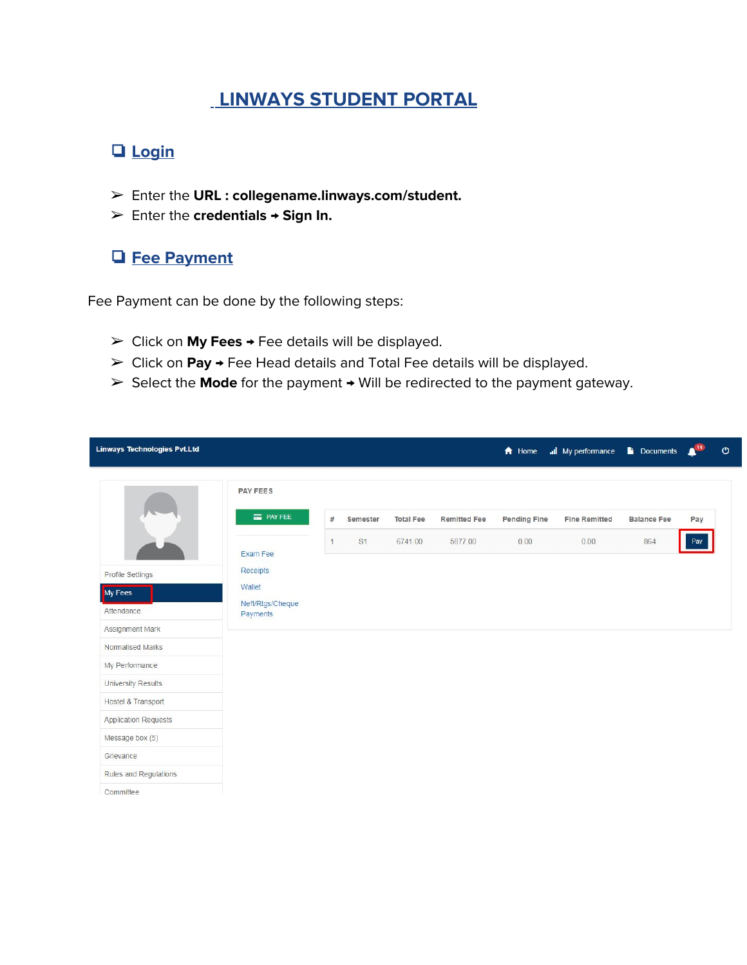# **LINWAYS STUDENT PORTAL**

## ❏ **Login**

- ➢ Enter the **URL : collegename.linways.com/student.**
- ➢ Enter the **credentials → Sign In.**

### ❏ **Fee Payment**

Fee Payment can be done by the following steps:

- ➢ Click on **My Fees** → Fee details will be displayed.
- ➢ Click on **Pay →** Fee Head details and Total Fee details will be displayed.
- ➢ Select the **Mode** for the payment → Will be redirected to the payment gateway.

| Linways Technologies Pvt.Ltd |                              |              |          |                  |                     | A Home              | all My performance   | <b>Documents</b>   | 14  | $\mathcal{O}$ |
|------------------------------|------------------------------|--------------|----------|------------------|---------------------|---------------------|----------------------|--------------------|-----|---------------|
|                              | <b>PAY FEES</b>              |              |          |                  |                     |                     |                      |                    |     |               |
|                              | <b>E</b> PAY FEE             | #            | Semester | <b>Total Fee</b> | <b>Remitted Fee</b> | <b>Pending Fine</b> | <b>Fine Remitted</b> | <b>Balance Fee</b> | Pay |               |
|                              | Exam Fee                     | $\mathbf{1}$ | S1       | 6741.00          | 5877.00             | 0.00                | 0.00                 | 864                | Pay |               |
| <b>Profile Settings</b>      | Receipts                     |              |          |                  |                     |                     |                      |                    |     |               |
| My Fees                      | Wallet                       |              |          |                  |                     |                     |                      |                    |     |               |
| Attendance                   | Neft/Rtgs/Cheque<br>Payments |              |          |                  |                     |                     |                      |                    |     |               |
| Assignment Mark              |                              |              |          |                  |                     |                     |                      |                    |     |               |
| Normalised Marks             |                              |              |          |                  |                     |                     |                      |                    |     |               |
| My Performance               |                              |              |          |                  |                     |                     |                      |                    |     |               |
| University Results           |                              |              |          |                  |                     |                     |                      |                    |     |               |
| Hostel & Transport           |                              |              |          |                  |                     |                     |                      |                    |     |               |
| <b>Application Requests</b>  |                              |              |          |                  |                     |                     |                      |                    |     |               |
| Message box (5)              |                              |              |          |                  |                     |                     |                      |                    |     |               |
| Grievance                    |                              |              |          |                  |                     |                     |                      |                    |     |               |
| Rules and Regulations        |                              |              |          |                  |                     |                     |                      |                    |     |               |
| Committee                    |                              |              |          |                  |                     |                     |                      |                    |     |               |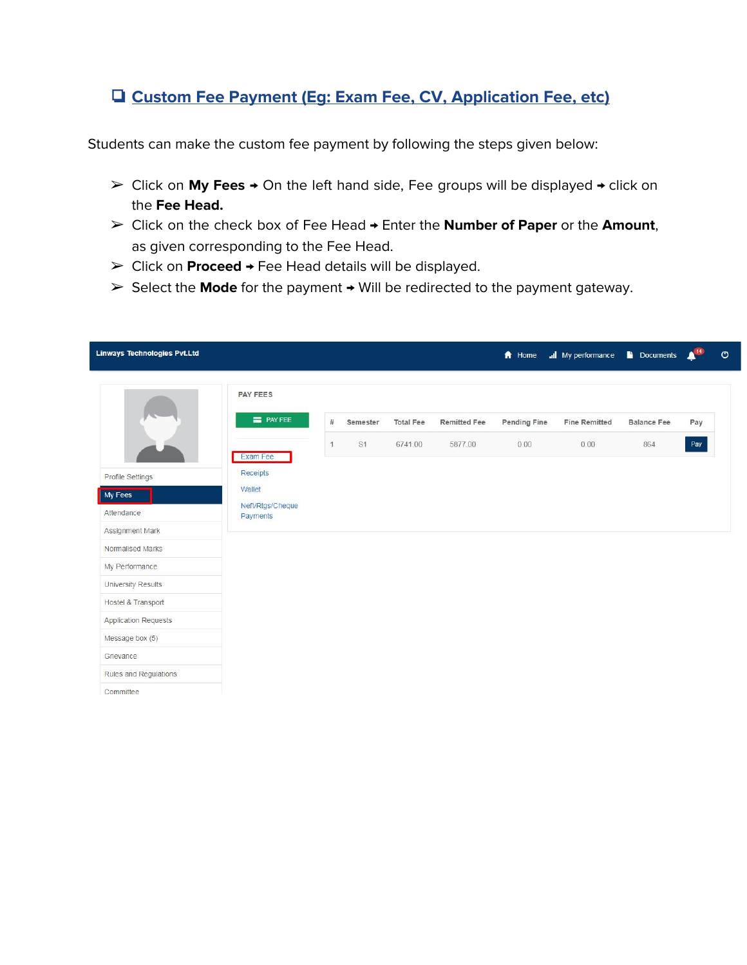#### ❏ **Custom Fee Payment (Eg: Exam Fee, CV, Application Fee, etc)**

Students can make the custom fee payment by following the steps given below:

- ➢ Click on **My Fees** → On the left hand side, Fee groups will be displayed → click on the **Fee Head.**
- ➢ Click on the check box of Fee Head → Enter the **Number of Paper** or the **Amount**, as given corresponding to the Fee Head.
- ➢ Click on **Proceed** → Fee Head details will be displayed.
- ➢ Select the **Mode** for the payment → Will be redirected to the payment gateway.

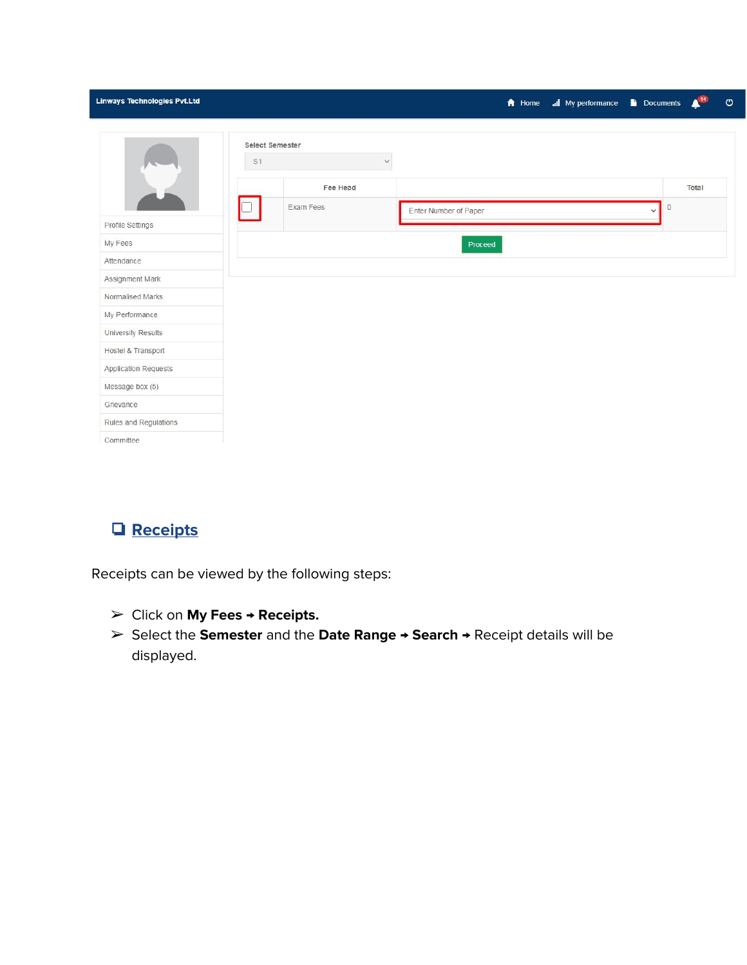| Linways Technologies Pvt.Ltd |                       |                 |                       | <b>A</b> Home <b>all</b> My performance <b>b</b> Documents |                         | THE   | $\pmb{\circ}$ |
|------------------------------|-----------------------|-----------------|-----------------------|------------------------------------------------------------|-------------------------|-------|---------------|
|                              | Select Semester<br>S1 |                 | $\checkmark$          |                                                            |                         |       |               |
|                              |                       | <b>Fee Head</b> |                       |                                                            |                         | Total |               |
| Profile Settings             |                       | Exam Fees       | Enter Number of Paper |                                                            | $\circ$<br>$\checkmark$ |       |               |
| My Fees                      |                       |                 | Proceed               |                                                            |                         |       |               |
| Attendance                   |                       |                 |                       |                                                            |                         |       |               |
| Assignment Mark              |                       |                 |                       |                                                            |                         |       |               |
| Normalised Marks             |                       |                 |                       |                                                            |                         |       |               |
| My Performance               |                       |                 |                       |                                                            |                         |       |               |
| University Results           |                       |                 |                       |                                                            |                         |       |               |
| Hostel & Transport           |                       |                 |                       |                                                            |                         |       |               |
| <b>Application Requests</b>  |                       |                 |                       |                                                            |                         |       |               |
| Message box (5)              |                       |                 |                       |                                                            |                         |       |               |
| Grievance                    |                       |                 |                       |                                                            |                         |       |               |
| Rules and Regulations        |                       |                 |                       |                                                            |                         |       |               |
| Committee                    |                       |                 |                       |                                                            |                         |       |               |

## ❏ **Receipts**

Receipts can be viewed by the following steps:

- ➢ Click on **My Fees** → **Receipts.**
- ➢ Select the **Semester** and the **Date Range → Search →** Receipt details will be displayed.